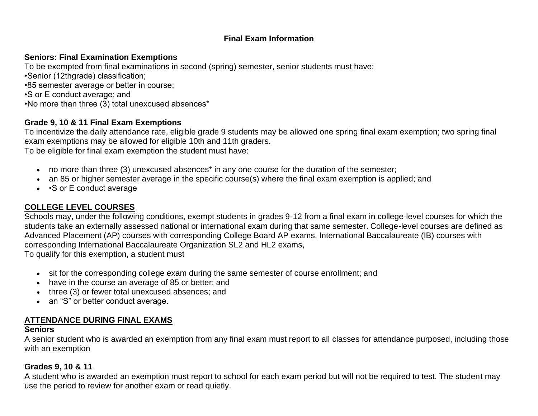## **Final Exam Information**

### **Seniors: Final Examination Exemptions**

To be exempted from final examinations in second (spring) semester, senior students must have: •Senior (12thgrade) classification; •85 semester average or better in course; •S or E conduct average; and •No more than three (3) total unexcused absences\*

#### **Grade 9, 10 & 11 Final Exam Exemptions**

To incentivize the daily attendance rate, eligible grade 9 students may be allowed one spring final exam exemption; two spring final exam exemptions may be allowed for eligible 10th and 11th graders.

To be eligible for final exam exemption the student must have:

- no more than three (3) unexcused absences\* in any one course for the duration of the semester;
- an 85 or higher semester average in the specific course(s) where the final exam exemption is applied; and
- • S or E conduct average

## **COLLEGE LEVEL COURSES**

Schools may, under the following conditions, exempt students in grades 9-12 from a final exam in college-level courses for which the students take an externally assessed national or international exam during that same semester. College-level courses are defined as Advanced Placement (AP) courses with corresponding College Board AP exams, International Baccalaureate (IB) courses with corresponding International Baccalaureate Organization SL2 and HL2 exams,

To qualify for this exemption, a student must

- sit for the corresponding college exam during the same semester of course enrollment; and
- have in the course an average of 85 or better; and
- three (3) or fewer total unexcused absences; and
- an "S" or better conduct average.

## **ATTENDANCE DURING FINAL EXAMS**

#### **Seniors**

A senior student who is awarded an exemption from any final exam must report to all classes for attendance purposed, including those with an exemption

#### **Grades 9, 10 & 11**

A student who is awarded an exemption must report to school for each exam period but will not be required to test. The student may use the period to review for another exam or read quietly.